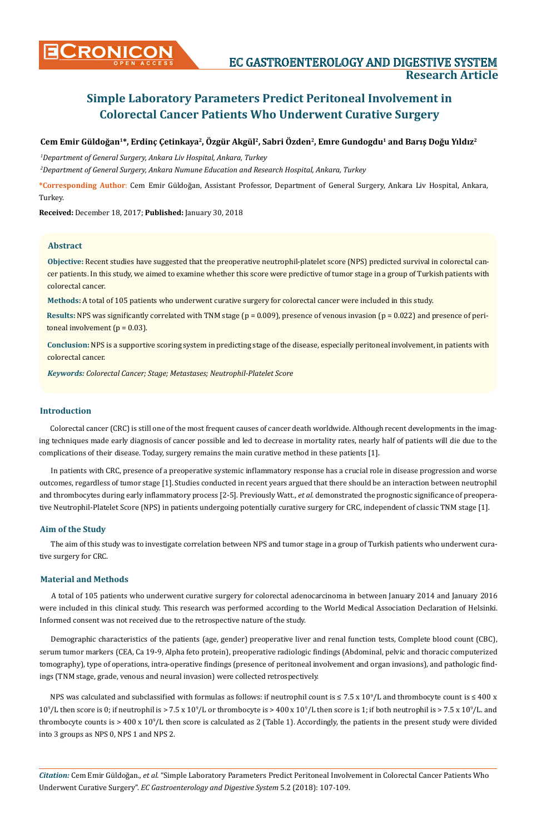# **Simple Laboratory Parameters Predict Peritoneal Involvement in Colorectal Cancer Patients Who Underwent Curative Surgery**

# **Cem Emir Güldoğan1\*, Erdinç Çetinkaya2, Özgür Akgül2, Sabri Özden2, Emre Gundogdu1 and Barış Doğu Yıldız<sup>2</sup>**

*1 Department of General Surgery, Ankara Liv Hospital, Ankara, Turkey*

*2 Department of General Surgery, Ankara Numune Education and Research Hospital, Ankara, Turkey*

**\*Corresponding Author**: Cem Emir Güldoğan, Assistant Professor, Department of General Surgery, Ankara Liv Hospital, Ankara, Turkey.

**Received:** December 18, 2017; **Published:** January 30, 2018

#### **Abstract**

**Objective:** Recent studies have suggested that the preoperative neutrophil-platelet score (NPS) predicted survival in colorectal cancer patients. In this study, we aimed to examine whether this score were predictive of tumor stage in a group of Turkish patients with colorectal cancer.

**Methods:** A total of 105 patients who underwent curative surgery for colorectal cancer were included in this study.

**Results:** NPS was significantly correlated with TNM stage (p = 0.009), presence of venous invasion (p = 0.022) and presence of peritoneal involvement ( $p = 0.03$ ).

**Conclusion:** NPS is a supportive scoring system in predicting stage of the disease, especially peritoneal involvement, in patients with colorectal cancer.

*Keywords: Colorectal Cancer; Stage; Metastases; Neutrophil-Platelet Score*

# **Introduction**

Colorectal cancer (CRC) is still one of the most frequent causes of cancer death worldwide. Although recent developments in the imaging techniques made early diagnosis of cancer possible and led to decrease in mortality rates, nearly half of patients will die due to the complications of their disease. Today, surgery remains the main curative method in these patients [1].

In patients with CRC, presence of a preoperative systemic inflammatory response has a crucial role in disease progression and worse outcomes, regardless of tumor stage [1]. Studies conducted in recent years argued that there should be an interaction between neutrophil and thrombocytes during early inflammatory process [2-5]. Previously Watt., *et al.* demonstrated the prognostic significance of preoperative Neutrophil-Platelet Score (NPS) in patients undergoing potentially curative surgery for CRC, independent of classic TNM stage [1].

## **Aim of the Study**

The aim of this study was to investigate correlation between NPS and tumor stage in a group of Turkish patients who underwent curative surgery for CRC.

# **Material and Methods**

A total of 105 patients who underwent curative surgery for colorectal adenocarcinoma in between January 2014 and January 2016 were included in this clinical study. This research was performed according to the World Medical Association Declaration of Helsinki. Informed consent was not received due to the retrospective nature of the study.

Demographic characteristics of the patients (age, gender) preoperative liver and renal function tests, Complete blood count (CBC), serum tumor markers (CEA, Ca 19-9, Alpha feto protein), preoperative radiologic findings (Abdominal, pelvic and thoracic computerized tomography), type of operations, intra-operative findings (presence of peritoneal involvement and organ invasions), and pathologic findings (TNM stage, grade, venous and neural invasion) were collected retrospectively.

NPS was calculated and subclassified with formulas as follows: if neutrophil count is  $\leq 7.5$  x  $10^9$ /L and thrombocyte count is  $\leq 400$  x  $10^9$ /L then score is 0; if neutrophil is > 7.5 x  $10^9$ /L or thrombocyte is >  $400$  x  $10^9$ /L then score is 1; if both neutrophil is > 7.5 x  $10^9$ /L. and thrombocyte counts is > 400 x 10<sup>9</sup>/L then score is calculated as 2 (Table 1). Accordingly, the patients in the present study were divided into 3 groups as NPS 0, NPS 1 and NPS 2.

*Citation:* Cem Emir Güldoğan*., et al.* "Simple Laboratory Parameters Predict Peritoneal Involvement in Colorectal Cancer Patients Who Underwent Curative Surgery". *EC Gastroenterology and Digestive System* 5.2 (2018): 107-109.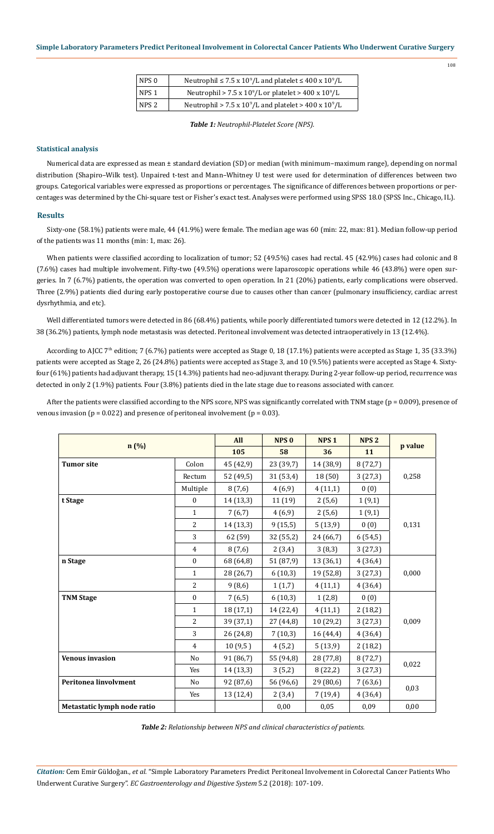| NPS 0 | Neutrophil $\leq 7.5 \times 10^9$ /L and platelet $\leq 400 \times 10^9$ /L |
|-------|-----------------------------------------------------------------------------|
| NPS 1 | Neutrophil > 7.5 x $10^9$ /L or platelet > $400 \times 10^9$ /L             |
| NPS 2 | Neutrophil > $7.5 \times 10^9$ /L and platelet > $400 \times 10^9$ /L       |

*Table 1: Neutrophil-Platelet Score (NPS).*

## **Statistical analysis**

Numerical data are expressed as mean ± standard deviation (SD) or median (with minimum–maximum range), depending on normal distribution (Shapiro–Wilk test). Unpaired t-test and Mann–Whitney U test were used for determination of differences between two groups. Categorical variables were expressed as proportions or percentages. The significance of differences between proportions or percentages was determined by the Chi-square test or Fisher's exact test. Analyses were performed using SPSS 18.0 (SPSS Inc., Chicago, IL).

#### **Results**

Sixty-one (58.1%) patients were male, 44 (41.9%) were female. The median age was 60 (min: 22, max: 81). Median follow-up period of the patients was 11 months (min: 1, max: 26).

When patients were classified according to localization of tumor; 52 (49.5%) cases had rectal. 45 (42.9%) cases had colonic and 8 (7.6%) cases had multiple involvement. Fifty-two (49.5%) operations were laparoscopic operations while 46 (43.8%) were open surgeries. In 7 (6.7%) patients, the operation was converted to open operation. In 21 (20%) patients, early complications were observed. Three (2.9%) patients died during early postoperative course due to causes other than cancer (pulmonary insufficiency, cardiac arrest dysrhythmia, and etc).

Well differentiated tumors were detected in 86 (68.4%) patients, while poorly differentiated tumors were detected in 12 (12.2%). In 38 (36.2%) patients, lymph node metastasis was detected. Peritoneal involvement was detected intraoperatively in 13 (12.4%).

According to AJCC 7<sup>th</sup> edition; 7 (6.7%) patients were accepted as Stage 0, 18 (17.1%) patients were accepted as Stage 1, 35 (33.3%) patients were accepted as Stage 2, 26 (24.8%) patients were accepted as Stage 3, and 10 (9.5%) patients were accepted as Stage 4. Sixtyfour (61%) patients had adjuvant therapy, 15 (14.3%) patients had neo-adjuvant therapy. During 2-year follow-up period, recurrence was detected in only 2 (1.9%) patients. Four (3.8%) patients died in the late stage due to reasons associated with cancer.

After the patients were classified according to the NPS score, NPS was significantly correlated with TNM stage (p = 0.009), presence of venous invasion ( $p = 0.022$ ) and presence of peritoneal involvement ( $p = 0.03$ ).

|                             | All              | NPS <sub>0</sub> | NPS <sub>1</sub> | NPS <sub>2</sub> | p value |       |
|-----------------------------|------------------|------------------|------------------|------------------|---------|-------|
| n(%)                        |                  | 105              | 58               | 36               |         | 11    |
| <b>Tumor site</b>           | Colon            | 45 (42,9)        | 23 (39,7)        | 14 (38,9)        | 8(72,7) |       |
|                             | Rectum           | 52 (49,5)        | 31 (53,4)        | 18 (50)          | 3(27,3) | 0,258 |
|                             | Multiple         | 8(7,6)           | 4(6,9)           | 4(11,1)          | 0(0)    |       |
| t Stage                     | $\mathbf{0}$     | 14 (13,3)        | 11 (19)          | 2(5,6)           | 1(9,1)  |       |
|                             | $\mathbf{1}$     | 7(6,7)           | 4(6,9)           | 2(5,6)           | 1(9,1)  |       |
|                             | $\overline{2}$   | 14 (13,3)        | 9(15,5)          | 5(13,9)          | 0(0)    | 0,131 |
|                             | 3                | 62 (59)          | 32 (55,2)        | 24 (66,7)        | 6(54,5) |       |
|                             | $\overline{4}$   | 8(7,6)           | 2(3,4)           | 3(8,3)           | 3(27,3) |       |
| n Stage                     | $\boldsymbol{0}$ | 68 (64,8)        | 51 (87,9)        | 13 (36,1)        | 4(36,4) |       |
|                             | $\mathbf{1}$     | 28 (26,7)        | 6(10,3)          | 19 (52,8)        | 3(27,3) | 0,000 |
|                             | $\overline{2}$   | 9(8,6)           | 1(1,7)           | 4(11,1)          | 4(36,4) |       |
| <b>TNM Stage</b>            | $\mathbf{0}$     | 7(6,5)           | 6(10,3)          | 1(2,8)           | 0(0)    |       |
|                             | $\mathbf{1}$     | 18 (17,1)        | 14 (22,4)        | 4(11,1)          | 2(18,2) |       |
|                             | $\overline{2}$   | 39 (37,1)        | 27 (44,8)        | 10(29,2)         | 3(27,3) | 0,009 |
|                             | 3                | 26 (24,8)        | 7(10,3)          | 16 (44,4)        | 4(36,4) |       |
|                             | $\overline{4}$   | 10(9,5)          | 4(5,2)           | 5(13,9)          | 2(18,2) |       |
| <b>Venous invasion</b>      | No               | 91 (86,7)        | 55 (94,8)        | 28 (77,8)        | 8(72,7) | 0,022 |
|                             | Yes              | 14 (13,3)        | 3(5,2)           | 8(22,2)          | 3(27,3) |       |
| Peritonea linvolvment       | N <sub>0</sub>   | 92 (87,6)        | 56 (96,6)        | 29 (80,6)        | 7(63,6) |       |
|                             | Yes              | 13 (12,4)        | 2(3,4)           | 7(19,4)          | 4(36,4) | 0,03  |
| Metastatic lymph node ratio |                  |                  | 0,00             | 0,05             | 0,09    | 0,00  |

*Table 2: Relationship between NPS and clinical characteristics of patients.*

*Citation:* Cem Emir Güldoğan*., et al.* "Simple Laboratory Parameters Predict Peritoneal Involvement in Colorectal Cancer Patients Who Underwent Curative Surgery". *EC Gastroenterology and Digestive System* 5.2 (2018): 107-109.

108